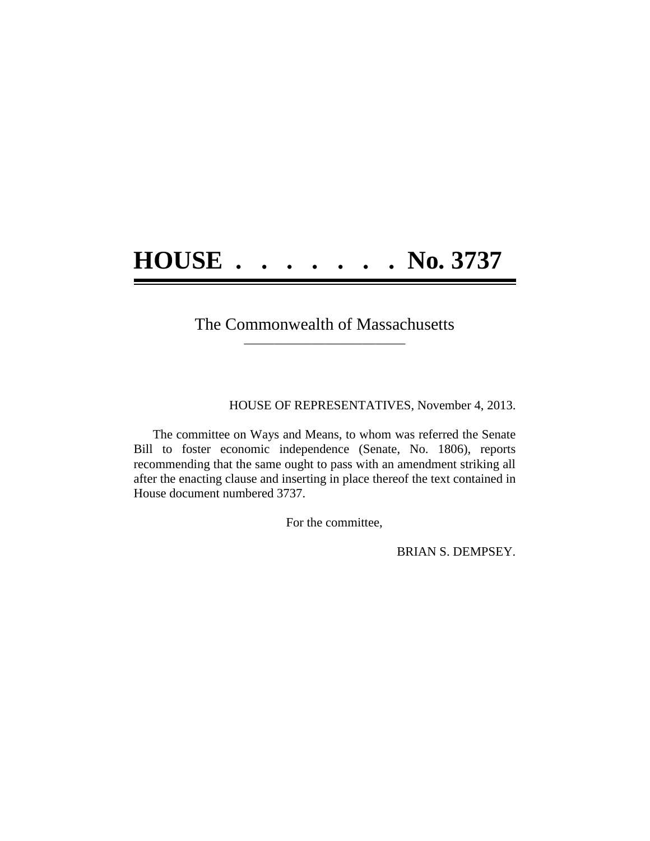## **HOUSE . . . . . . . No. 3737**

## The Commonwealth of Massachusetts **\_\_\_\_\_\_\_\_\_\_\_\_\_\_\_\_\_\_\_\_\_\_\_\_\_\_\_\_\_\_\_\_\_\_\_\_\_\_**

HOUSE OF REPRESENTATIVES, November 4, 2013.

The committee on Ways and Means, to whom was referred the Senate Bill to foster economic independence (Senate, No. 1806), reports recommending that the same ought to pass with an amendment striking all after the enacting clause and inserting in place thereof the text contained in House document numbered 3737.

For the committee,

BRIAN S. DEMPSEY.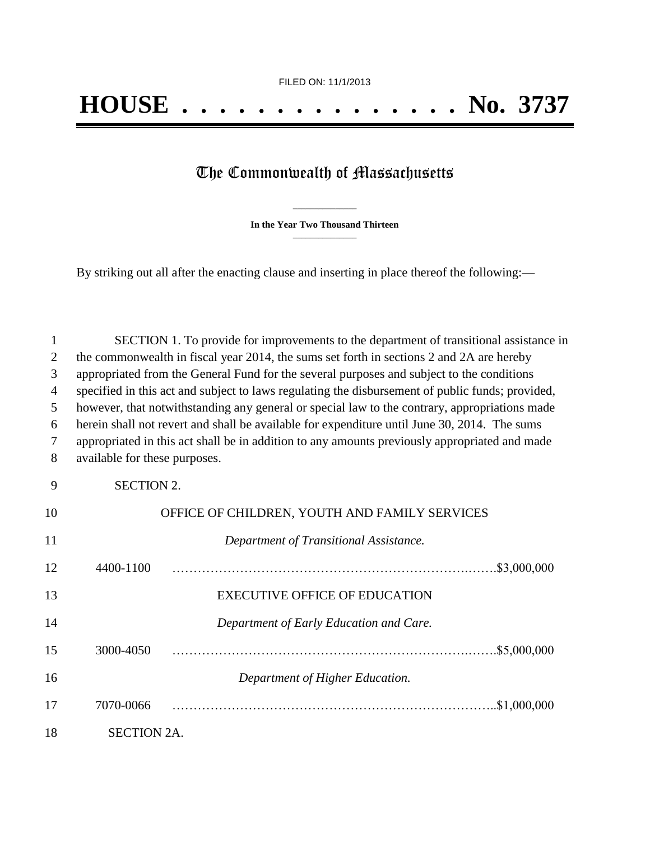## The Commonwealth of Massachusetts

**\_\_\_\_\_\_\_\_\_\_\_\_\_\_\_ In the Year Two Thousand Thirteen \_\_\_\_\_\_\_\_\_\_\_\_\_\_\_**

By striking out all after the enacting clause and inserting in place thereof the following:—

| 1              | SECTION 1. To provide for improvements to the department of transitional assistance in           |                                               |  |  |
|----------------|--------------------------------------------------------------------------------------------------|-----------------------------------------------|--|--|
| $\overline{2}$ | the commonwealth in fiscal year 2014, the sums set forth in sections 2 and 2A are hereby         |                                               |  |  |
| 3              | appropriated from the General Fund for the several purposes and subject to the conditions        |                                               |  |  |
| $\overline{4}$ | specified in this act and subject to laws regulating the disbursement of public funds; provided, |                                               |  |  |
| 5              | however, that notwithstanding any general or special law to the contrary, appropriations made    |                                               |  |  |
| 6              | herein shall not revert and shall be available for expenditure until June 30, 2014. The sums     |                                               |  |  |
| 7              | appropriated in this act shall be in addition to any amounts previously appropriated and made    |                                               |  |  |
| 8              | available for these purposes.                                                                    |                                               |  |  |
| 9              | <b>SECTION 2.</b>                                                                                |                                               |  |  |
| 10             |                                                                                                  | OFFICE OF CHILDREN, YOUTH AND FAMILY SERVICES |  |  |
| 11             |                                                                                                  | Department of Transitional Assistance.        |  |  |
| 12             | 4400-1100                                                                                        |                                               |  |  |
| 13             |                                                                                                  | <b>EXECUTIVE OFFICE OF EDUCATION</b>          |  |  |
| 14             |                                                                                                  | Department of Early Education and Care.       |  |  |
| 15             | 3000-4050                                                                                        |                                               |  |  |
| 16             |                                                                                                  | Department of Higher Education.               |  |  |
| 17             | 7070-0066                                                                                        |                                               |  |  |
| 18             | <b>SECTION 2A.</b>                                                                               |                                               |  |  |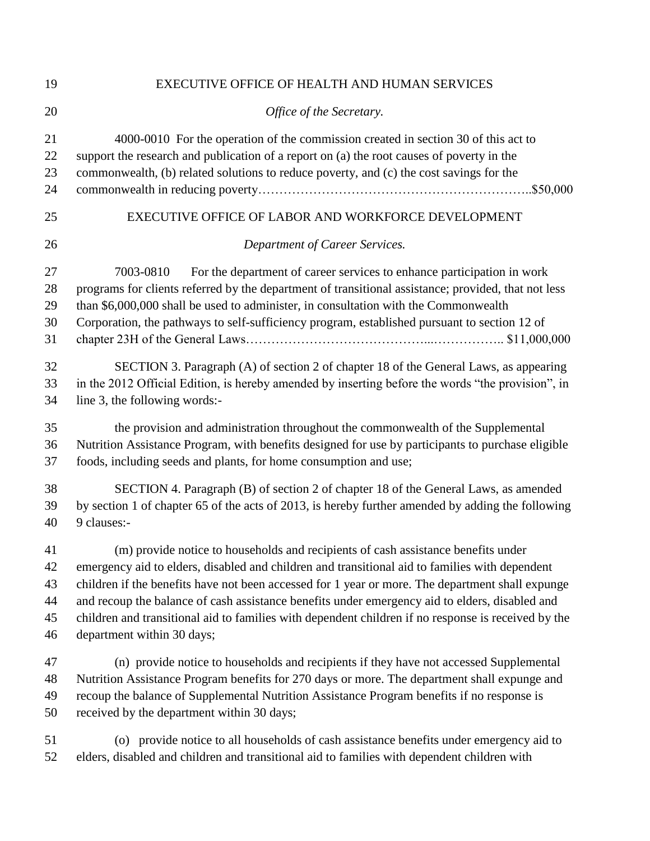| 19                         | EXECUTIVE OFFICE OF HEALTH AND HUMAN SERVICES                                                                                                                                                                                                                                                                                                                                     |  |  |
|----------------------------|-----------------------------------------------------------------------------------------------------------------------------------------------------------------------------------------------------------------------------------------------------------------------------------------------------------------------------------------------------------------------------------|--|--|
| 20                         | Office of the Secretary.                                                                                                                                                                                                                                                                                                                                                          |  |  |
| 21                         | 4000-0010 For the operation of the commission created in section 30 of this act to                                                                                                                                                                                                                                                                                                |  |  |
| 22                         | support the research and publication of a report on (a) the root causes of poverty in the                                                                                                                                                                                                                                                                                         |  |  |
| 23                         | commonwealth, (b) related solutions to reduce poverty, and (c) the cost savings for the                                                                                                                                                                                                                                                                                           |  |  |
| 24                         |                                                                                                                                                                                                                                                                                                                                                                                   |  |  |
| 25                         | EXECUTIVE OFFICE OF LABOR AND WORKFORCE DEVELOPMENT                                                                                                                                                                                                                                                                                                                               |  |  |
| 26                         | Department of Career Services.                                                                                                                                                                                                                                                                                                                                                    |  |  |
| 27<br>28<br>29<br>30<br>31 | For the department of career services to enhance participation in work<br>7003-0810<br>programs for clients referred by the department of transitional assistance; provided, that not less<br>than \$6,000,000 shall be used to administer, in consultation with the Commonwealth<br>Corporation, the pathways to self-sufficiency program, established pursuant to section 12 of |  |  |
| 32                         | SECTION 3. Paragraph (A) of section 2 of chapter 18 of the General Laws, as appearing                                                                                                                                                                                                                                                                                             |  |  |
| 33                         | in the 2012 Official Edition, is hereby amended by inserting before the words "the provision", in                                                                                                                                                                                                                                                                                 |  |  |
| 34                         | line 3, the following words:-                                                                                                                                                                                                                                                                                                                                                     |  |  |
| 35                         | the provision and administration throughout the commonwealth of the Supplemental                                                                                                                                                                                                                                                                                                  |  |  |
| 36                         | Nutrition Assistance Program, with benefits designed for use by participants to purchase eligible                                                                                                                                                                                                                                                                                 |  |  |
| 37                         | foods, including seeds and plants, for home consumption and use;                                                                                                                                                                                                                                                                                                                  |  |  |
| 38                         | SECTION 4. Paragraph (B) of section 2 of chapter 18 of the General Laws, as amended                                                                                                                                                                                                                                                                                               |  |  |
| 39                         | by section 1 of chapter 65 of the acts of 2013, is hereby further amended by adding the following                                                                                                                                                                                                                                                                                 |  |  |
| 40                         | 9 clauses:-                                                                                                                                                                                                                                                                                                                                                                       |  |  |
| 41                         | (m) provide notice to households and recipients of cash assistance benefits under                                                                                                                                                                                                                                                                                                 |  |  |
| 42                         | emergency aid to elders, disabled and children and transitional aid to families with dependent                                                                                                                                                                                                                                                                                    |  |  |
| 43                         | children if the benefits have not been accessed for 1 year or more. The department shall expunge                                                                                                                                                                                                                                                                                  |  |  |
| 44                         | and recoup the balance of cash assistance benefits under emergency aid to elders, disabled and                                                                                                                                                                                                                                                                                    |  |  |
| 45                         | children and transitional aid to families with dependent children if no response is received by the                                                                                                                                                                                                                                                                               |  |  |
| 46                         | department within 30 days;                                                                                                                                                                                                                                                                                                                                                        |  |  |
| 47                         | (n) provide notice to households and recipients if they have not accessed Supplemental                                                                                                                                                                                                                                                                                            |  |  |
| 48                         | Nutrition Assistance Program benefits for 270 days or more. The department shall expunge and                                                                                                                                                                                                                                                                                      |  |  |
| 49                         | recoup the balance of Supplemental Nutrition Assistance Program benefits if no response is                                                                                                                                                                                                                                                                                        |  |  |
| 50                         | received by the department within 30 days;                                                                                                                                                                                                                                                                                                                                        |  |  |
| 51                         | (o) provide notice to all households of cash assistance benefits under emergency aid to                                                                                                                                                                                                                                                                                           |  |  |
| 52                         | elders, disabled and children and transitional aid to families with dependent children with                                                                                                                                                                                                                                                                                       |  |  |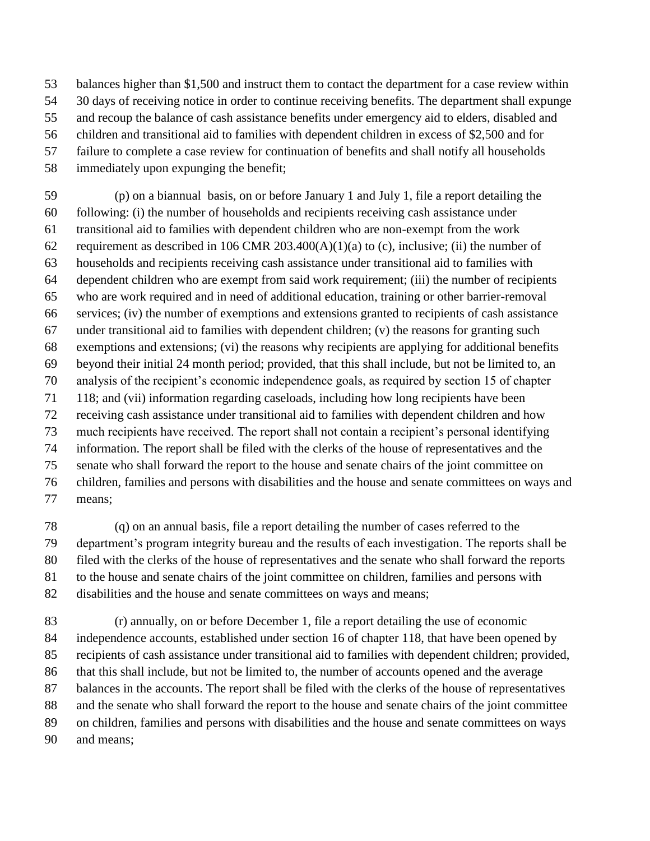balances higher than \$1,500 and instruct them to contact the department for a case review within

- 30 days of receiving notice in order to continue receiving benefits. The department shall expunge
- and recoup the balance of cash assistance benefits under emergency aid to elders, disabled and
- children and transitional aid to families with dependent children in excess of \$2,500 and for
- failure to complete a case review for continuation of benefits and shall notify all households
- immediately upon expunging the benefit;

 (p) on a biannual basis, on or before January 1 and July 1, file a report detailing the following: (i) the number of households and recipients receiving cash assistance under transitional aid to families with dependent children who are non-exempt from the work 62 requirement as described in 106 CMR 203.400(A)(1)(a) to (c), inclusive; (ii) the number of households and recipients receiving cash assistance under transitional aid to families with dependent children who are exempt from said work requirement; (iii) the number of recipients who are work required and in need of additional education, training or other barrier-removal services; (iv) the number of exemptions and extensions granted to recipients of cash assistance under transitional aid to families with dependent children; (v) the reasons for granting such exemptions and extensions; (vi) the reasons why recipients are applying for additional benefits beyond their initial 24 month period; provided, that this shall include, but not be limited to, an analysis of the recipient's economic independence goals, as required by section 15 of chapter 118; and (vii) information regarding caseloads, including how long recipients have been receiving cash assistance under transitional aid to families with dependent children and how much recipients have received. The report shall not contain a recipient's personal identifying information. The report shall be filed with the clerks of the house of representatives and the senate who shall forward the report to the house and senate chairs of the joint committee on children, families and persons with disabilities and the house and senate committees on ways and means;

 (q) on an annual basis, file a report detailing the number of cases referred to the department's program integrity bureau and the results of each investigation. The reports shall be filed with the clerks of the house of representatives and the senate who shall forward the reports to the house and senate chairs of the joint committee on children, families and persons with disabilities and the house and senate committees on ways and means;

 (r) annually, on or before December 1, file a report detailing the use of economic independence accounts, established under section 16 of chapter 118, that have been opened by recipients of cash assistance under transitional aid to families with dependent children; provided, that this shall include, but not be limited to, the number of accounts opened and the average balances in the accounts. The report shall be filed with the clerks of the house of representatives and the senate who shall forward the report to the house and senate chairs of the joint committee on children, families and persons with disabilities and the house and senate committees on ways and means;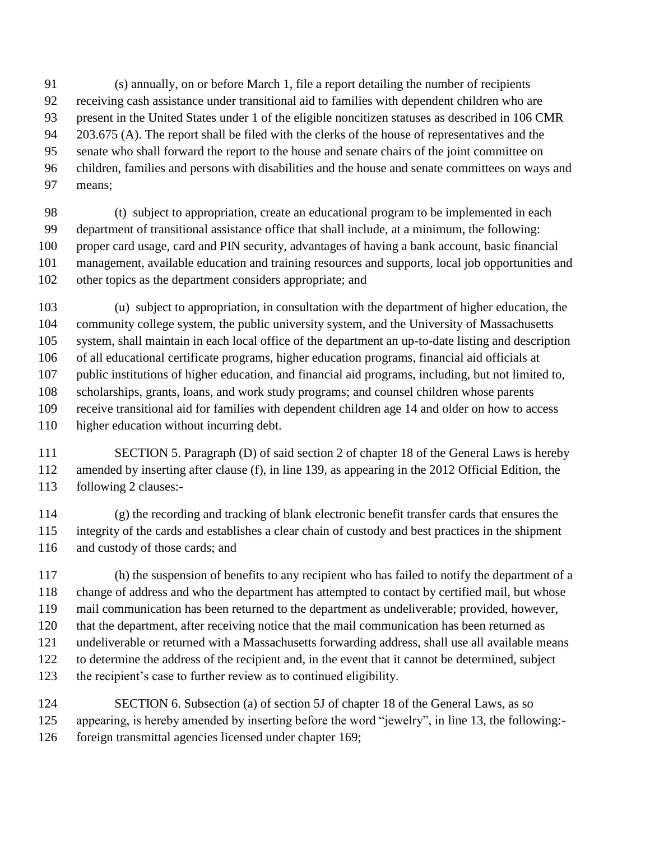(s) annually, on or before March 1, file a report detailing the number of recipients receiving cash assistance under transitional aid to families with dependent children who are present in the United States under 1 of the eligible noncitizen statuses as described in 106 CMR 203.675 (A). The report shall be filed with the clerks of the house of representatives and the senate who shall forward the report to the house and senate chairs of the joint committee on children, families and persons with disabilities and the house and senate committees on ways and means;

 (t) subject to appropriation, create an educational program to be implemented in each department of transitional assistance office that shall include, at a minimum, the following: proper card usage, card and PIN security, advantages of having a bank account, basic financial management, available education and training resources and supports, local job opportunities and other topics as the department considers appropriate; and

 (u) subject to appropriation, in consultation with the department of higher education, the community college system, the public university system, and the University of Massachusetts system, shall maintain in each local office of the department an up-to-date listing and description of all educational certificate programs, higher education programs, financial aid officials at public institutions of higher education, and financial aid programs, including, but not limited to, scholarships, grants, loans, and work study programs; and counsel children whose parents receive transitional aid for families with dependent children age 14 and older on how to access higher education without incurring debt.

 SECTION 5. Paragraph (D) of said section 2 of chapter 18 of the General Laws is hereby amended by inserting after clause (f), in line 139, as appearing in the 2012 Official Edition, the following 2 clauses:-

 (g) the recording and tracking of blank electronic benefit transfer cards that ensures the integrity of the cards and establishes a clear chain of custody and best practices in the shipment and custody of those cards; and

 (h) the suspension of benefits to any recipient who has failed to notify the department of a change of address and who the department has attempted to contact by certified mail, but whose mail communication has been returned to the department as undeliverable; provided, however, that the department, after receiving notice that the mail communication has been returned as undeliverable or returned with a Massachusetts forwarding address, shall use all available means to determine the address of the recipient and, in the event that it cannot be determined, subject the recipient's case to further review as to continued eligibility.

 SECTION 6. Subsection (a) of section 5J of chapter 18 of the General Laws, as so appearing, is hereby amended by inserting before the word "jewelry", in line 13, the following:- foreign transmittal agencies licensed under chapter 169;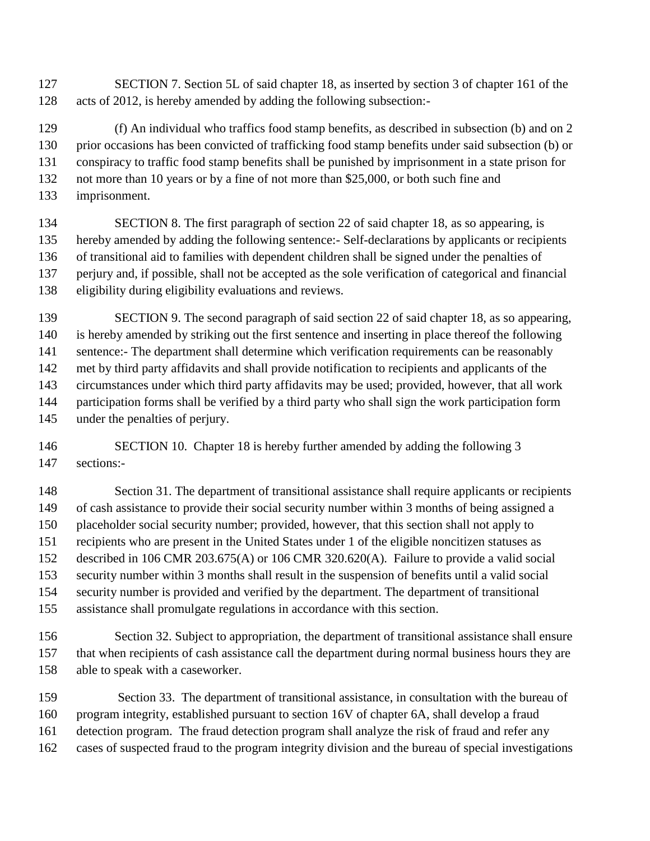SECTION 7. Section 5L of said chapter 18, as inserted by section 3 of chapter 161 of the acts of 2012, is hereby amended by adding the following subsection:-

 (f) An individual who traffics food stamp benefits, as described in subsection (b) and on 2 prior occasions has been convicted of trafficking food stamp benefits under said subsection (b) or conspiracy to traffic food stamp benefits shall be punished by imprisonment in a state prison for not more than 10 years or by a fine of not more than \$25,000, or both such fine and imprisonment.

 SECTION 8. The first paragraph of section 22 of said chapter 18, as so appearing, is hereby amended by adding the following sentence:- Self-declarations by applicants or recipients of transitional aid to families with dependent children shall be signed under the penalties of perjury and, if possible, shall not be accepted as the sole verification of categorical and financial eligibility during eligibility evaluations and reviews.

 SECTION 9. The second paragraph of said section 22 of said chapter 18, as so appearing, is hereby amended by striking out the first sentence and inserting in place thereof the following sentence:- The department shall determine which verification requirements can be reasonably met by third party affidavits and shall provide notification to recipients and applicants of the circumstances under which third party affidavits may be used; provided, however, that all work participation forms shall be verified by a third party who shall sign the work participation form under the penalties of perjury.

146 SECTION 10. Chapter 18 is hereby further amended by adding the following 3 sections:-

 Section 31. The department of transitional assistance shall require applicants or recipients of cash assistance to provide their social security number within 3 months of being assigned a placeholder social security number; provided, however, that this section shall not apply to recipients who are present in the United States under 1 of the eligible noncitizen statuses as described in 106 CMR 203.675(A) or 106 CMR 320.620(A). Failure to provide a valid social security number within 3 months shall result in the suspension of benefits until a valid social security number is provided and verified by the department. The department of transitional assistance shall promulgate regulations in accordance with this section.

 Section 32. Subject to appropriation, the department of transitional assistance shall ensure that when recipients of cash assistance call the department during normal business hours they are able to speak with a caseworker.

 Section 33. The department of transitional assistance, in consultation with the bureau of program integrity, established pursuant to section 16V of chapter 6A, shall develop a fraud detection program. The fraud detection program shall analyze the risk of fraud and refer any cases of suspected fraud to the program integrity division and the bureau of special investigations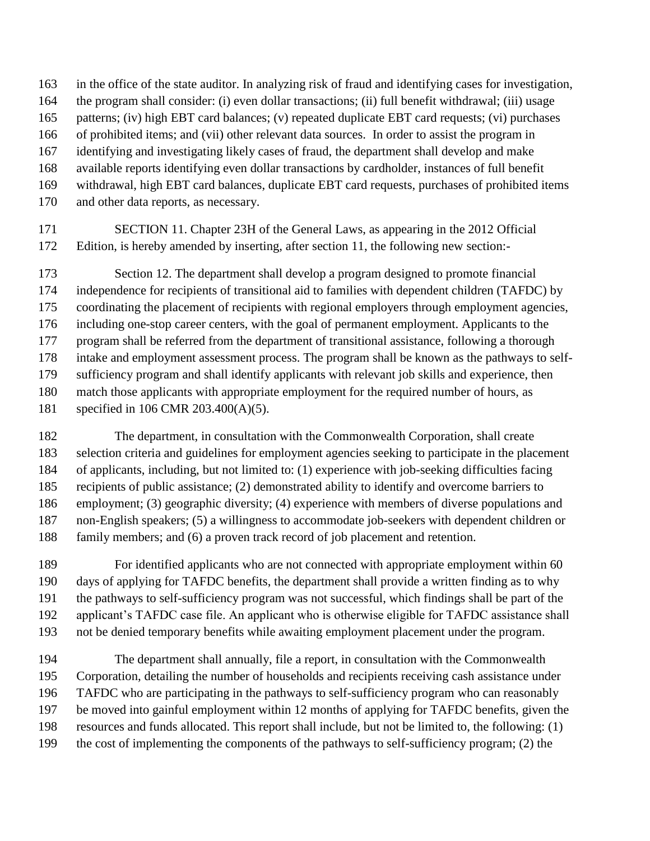- in the office of the state auditor. In analyzing risk of fraud and identifying cases for investigation,
- the program shall consider: (i) even dollar transactions; (ii) full benefit withdrawal; (iii) usage
- patterns; (iv) high EBT card balances; (v) repeated duplicate EBT card requests; (vi) purchases
- of prohibited items; and (vii) other relevant data sources. In order to assist the program in
- identifying and investigating likely cases of fraud, the department shall develop and make
- available reports identifying even dollar transactions by cardholder, instances of full benefit
- withdrawal, high EBT card balances, duplicate EBT card requests, purchases of prohibited items
- and other data reports, as necessary.
- SECTION 11. Chapter 23H of the General Laws, as appearing in the 2012 Official Edition, is hereby amended by inserting, after section 11, the following new section:-

 Section 12. The department shall develop a program designed to promote financial independence for recipients of transitional aid to families with dependent children (TAFDC) by coordinating the placement of recipients with regional employers through employment agencies, including one-stop career centers, with the goal of permanent employment. Applicants to the program shall be referred from the department of transitional assistance, following a thorough intake and employment assessment process. The program shall be known as the pathways to self- sufficiency program and shall identify applicants with relevant job skills and experience, then match those applicants with appropriate employment for the required number of hours, as specified in 106 CMR 203.400(A)(5).

 The department, in consultation with the Commonwealth Corporation, shall create selection criteria and guidelines for employment agencies seeking to participate in the placement of applicants, including, but not limited to: (1) experience with job-seeking difficulties facing recipients of public assistance; (2) demonstrated ability to identify and overcome barriers to employment; (3) geographic diversity; (4) experience with members of diverse populations and non-English speakers; (5) a willingness to accommodate job-seekers with dependent children or family members; and (6) a proven track record of job placement and retention.

 For identified applicants who are not connected with appropriate employment within 60 days of applying for TAFDC benefits, the department shall provide a written finding as to why the pathways to self-sufficiency program was not successful, which findings shall be part of the applicant's TAFDC case file. An applicant who is otherwise eligible for TAFDC assistance shall not be denied temporary benefits while awaiting employment placement under the program.

 The department shall annually, file a report, in consultation with the Commonwealth Corporation, detailing the number of households and recipients receiving cash assistance under TAFDC who are participating in the pathways to self-sufficiency program who can reasonably be moved into gainful employment within 12 months of applying for TAFDC benefits, given the resources and funds allocated. This report shall include, but not be limited to, the following: (1) the cost of implementing the components of the pathways to self-sufficiency program; (2) the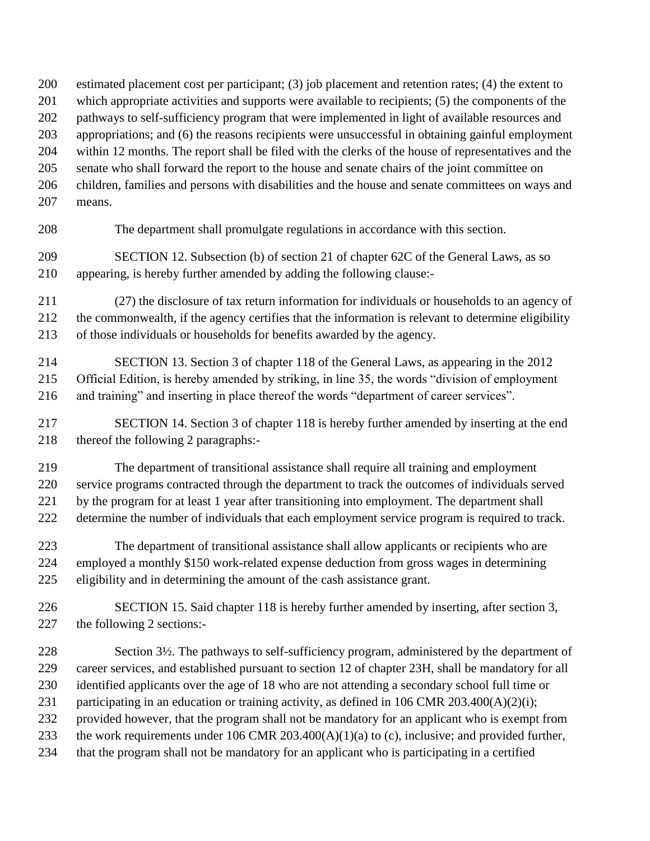estimated placement cost per participant; (3) job placement and retention rates; (4) the extent to

- which appropriate activities and supports were available to recipients; (5) the components of the
- pathways to self-sufficiency program that were implemented in light of available resources and

appropriations; and (6) the reasons recipients were unsuccessful in obtaining gainful employment

within 12 months. The report shall be filed with the clerks of the house of representatives and the

- senate who shall forward the report to the house and senate chairs of the joint committee on children, families and persons with disabilities and the house and senate committees on ways and
- means.

The department shall promulgate regulations in accordance with this section.

 SECTION 12. Subsection (b) of section 21 of chapter 62C of the General Laws, as so appearing, is hereby further amended by adding the following clause:-

 (27) the disclosure of tax return information for individuals or households to an agency of the commonwealth, if the agency certifies that the information is relevant to determine eligibility of those individuals or households for benefits awarded by the agency.

 SECTION 13. Section 3 of chapter 118 of the General Laws, as appearing in the 2012 Official Edition, is hereby amended by striking, in line 35, the words "division of employment and training" and inserting in place thereof the words "department of career services".

 SECTION 14. Section 3 of chapter 118 is hereby further amended by inserting at the end thereof the following 2 paragraphs:-

 The department of transitional assistance shall require all training and employment service programs contracted through the department to track the outcomes of individuals served

by the program for at least 1 year after transitioning into employment. The department shall

determine the number of individuals that each employment service program is required to track.

 The department of transitional assistance shall allow applicants or recipients who are employed a monthly \$150 work-related expense deduction from gross wages in determining eligibility and in determining the amount of the cash assistance grant.

 SECTION 15. Said chapter 118 is hereby further amended by inserting, after section 3, the following 2 sections:-

 Section 3½. The pathways to self-sufficiency program, administered by the department of career services, and established pursuant to section 12 of chapter 23H, shall be mandatory for all identified applicants over the age of 18 who are not attending a secondary school full time or 231 participating in an education or training activity, as defined in 106 CMR 203.400(A)(2)(i); provided however, that the program shall not be mandatory for an applicant who is exempt from the work requirements under 106 CMR 203.400(A)(1)(a) to (c), inclusive; and provided further, that the program shall not be mandatory for an applicant who is participating in a certified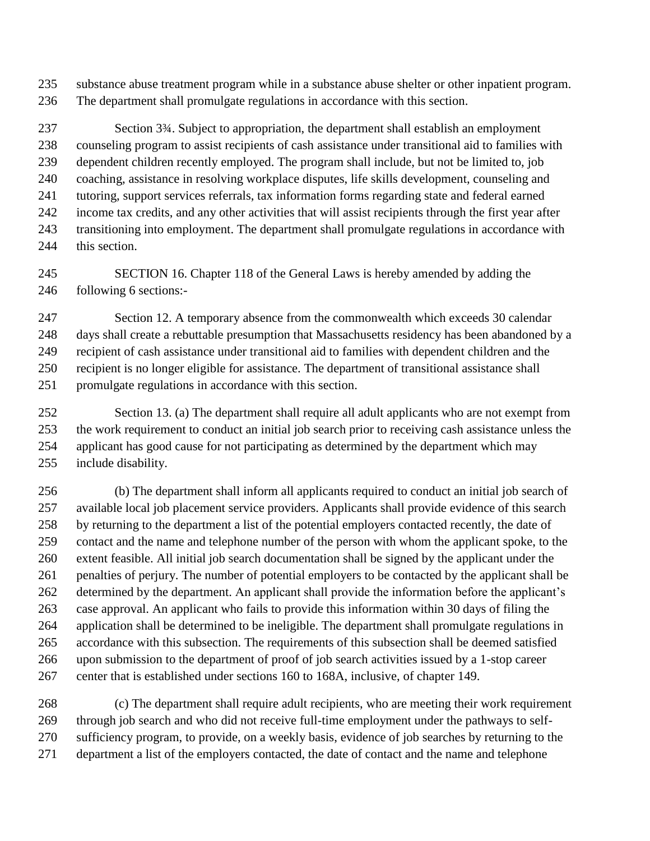substance abuse treatment program while in a substance abuse shelter or other inpatient program. The department shall promulgate regulations in accordance with this section.

 Section 3¾. Subject to appropriation, the department shall establish an employment counseling program to assist recipients of cash assistance under transitional aid to families with dependent children recently employed. The program shall include, but not be limited to, job coaching, assistance in resolving workplace disputes, life skills development, counseling and tutoring, support services referrals, tax information forms regarding state and federal earned income tax credits, and any other activities that will assist recipients through the first year after transitioning into employment. The department shall promulgate regulations in accordance with 244 this section.

 SECTION 16. Chapter 118 of the General Laws is hereby amended by adding the following 6 sections:-

 Section 12. A temporary absence from the commonwealth which exceeds 30 calendar days shall create a rebuttable presumption that Massachusetts residency has been abandoned by a recipient of cash assistance under transitional aid to families with dependent children and the recipient is no longer eligible for assistance. The department of transitional assistance shall promulgate regulations in accordance with this section.

 Section 13. (a) The department shall require all adult applicants who are not exempt from the work requirement to conduct an initial job search prior to receiving cash assistance unless the applicant has good cause for not participating as determined by the department which may include disability.

 (b) The department shall inform all applicants required to conduct an initial job search of available local job placement service providers. Applicants shall provide evidence of this search by returning to the department a list of the potential employers contacted recently, the date of contact and the name and telephone number of the person with whom the applicant spoke, to the extent feasible. All initial job search documentation shall be signed by the applicant under the penalties of perjury. The number of potential employers to be contacted by the applicant shall be determined by the department. An applicant shall provide the information before the applicant's case approval. An applicant who fails to provide this information within 30 days of filing the application shall be determined to be ineligible. The department shall promulgate regulations in accordance with this subsection. The requirements of this subsection shall be deemed satisfied upon submission to the department of proof of job search activities issued by a 1-stop career center that is established under sections 160 to 168A, inclusive, of chapter 149.

 (c) The department shall require adult recipients, who are meeting their work requirement through job search and who did not receive full-time employment under the pathways to self- sufficiency program, to provide, on a weekly basis, evidence of job searches by returning to the department a list of the employers contacted, the date of contact and the name and telephone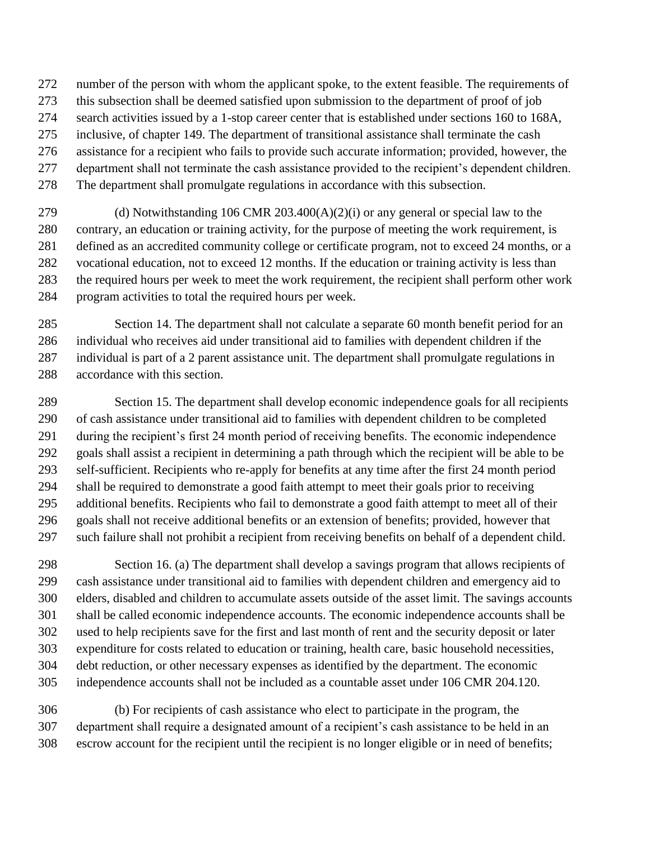- number of the person with whom the applicant spoke, to the extent feasible. The requirements of
- this subsection shall be deemed satisfied upon submission to the department of proof of job
- search activities issued by a 1-stop career center that is established under sections 160 to 168A,
- inclusive, of chapter 149. The department of transitional assistance shall terminate the cash
- assistance for a recipient who fails to provide such accurate information; provided, however, the
- department shall not terminate the cash assistance provided to the recipient's dependent children.
- The department shall promulgate regulations in accordance with this subsection.
- (d) Notwithstanding 106 CMR 203.400(A)(2)(i) or any general or special law to the contrary, an education or training activity, for the purpose of meeting the work requirement, is 281 defined as an accredited community college or certificate program, not to exceed 24 months, or a vocational education, not to exceed 12 months. If the education or training activity is less than the required hours per week to meet the work requirement, the recipient shall perform other work program activities to total the required hours per week.
- Section 14. The department shall not calculate a separate 60 month benefit period for an individual who receives aid under transitional aid to families with dependent children if the individual is part of a 2 parent assistance unit. The department shall promulgate regulations in accordance with this section.
- Section 15. The department shall develop economic independence goals for all recipients of cash assistance under transitional aid to families with dependent children to be completed during the recipient's first 24 month period of receiving benefits. The economic independence goals shall assist a recipient in determining a path through which the recipient will be able to be self-sufficient. Recipients who re-apply for benefits at any time after the first 24 month period shall be required to demonstrate a good faith attempt to meet their goals prior to receiving additional benefits. Recipients who fail to demonstrate a good faith attempt to meet all of their goals shall not receive additional benefits or an extension of benefits; provided, however that such failure shall not prohibit a recipient from receiving benefits on behalf of a dependent child.
- Section 16. (a) The department shall develop a savings program that allows recipients of cash assistance under transitional aid to families with dependent children and emergency aid to elders, disabled and children to accumulate assets outside of the asset limit. The savings accounts shall be called economic independence accounts. The economic independence accounts shall be used to help recipients save for the first and last month of rent and the security deposit or later expenditure for costs related to education or training, health care, basic household necessities, debt reduction, or other necessary expenses as identified by the department. The economic independence accounts shall not be included as a countable asset under 106 CMR 204.120.
- (b) For recipients of cash assistance who elect to participate in the program, the department shall require a designated amount of a recipient's cash assistance to be held in an escrow account for the recipient until the recipient is no longer eligible or in need of benefits;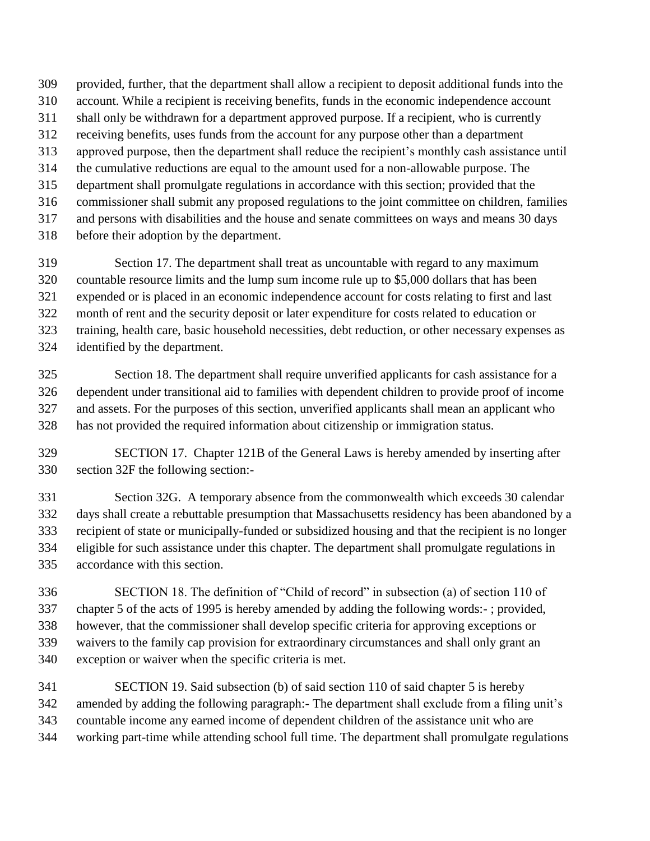provided, further, that the department shall allow a recipient to deposit additional funds into the account. While a recipient is receiving benefits, funds in the economic independence account shall only be withdrawn for a department approved purpose. If a recipient, who is currently receiving benefits, uses funds from the account for any purpose other than a department approved purpose, then the department shall reduce the recipient's monthly cash assistance until the cumulative reductions are equal to the amount used for a non-allowable purpose. The department shall promulgate regulations in accordance with this section; provided that the commissioner shall submit any proposed regulations to the joint committee on children, families and persons with disabilities and the house and senate committees on ways and means 30 days before their adoption by the department.

 Section 17. The department shall treat as uncountable with regard to any maximum countable resource limits and the lump sum income rule up to \$5,000 dollars that has been expended or is placed in an economic independence account for costs relating to first and last month of rent and the security deposit or later expenditure for costs related to education or training, health care, basic household necessities, debt reduction, or other necessary expenses as identified by the department.

 Section 18. The department shall require unverified applicants for cash assistance for a dependent under transitional aid to families with dependent children to provide proof of income and assets. For the purposes of this section, unverified applicants shall mean an applicant who has not provided the required information about citizenship or immigration status.

 SECTION 17. Chapter 121B of the General Laws is hereby amended by inserting after section 32F the following section:-

 Section 32G. A temporary absence from the commonwealth which exceeds 30 calendar days shall create a rebuttable presumption that Massachusetts residency has been abandoned by a recipient of state or municipally-funded or subsidized housing and that the recipient is no longer eligible for such assistance under this chapter. The department shall promulgate regulations in accordance with this section.

 SECTION 18. The definition of "Child of record" in subsection (a) of section 110 of chapter 5 of the acts of 1995 is hereby amended by adding the following words:- ; provided, however, that the commissioner shall develop specific criteria for approving exceptions or waivers to the family cap provision for extraordinary circumstances and shall only grant an exception or waiver when the specific criteria is met.

 SECTION 19. Said subsection (b) of said section 110 of said chapter 5 is hereby amended by adding the following paragraph:- The department shall exclude from a filing unit's countable income any earned income of dependent children of the assistance unit who are working part-time while attending school full time. The department shall promulgate regulations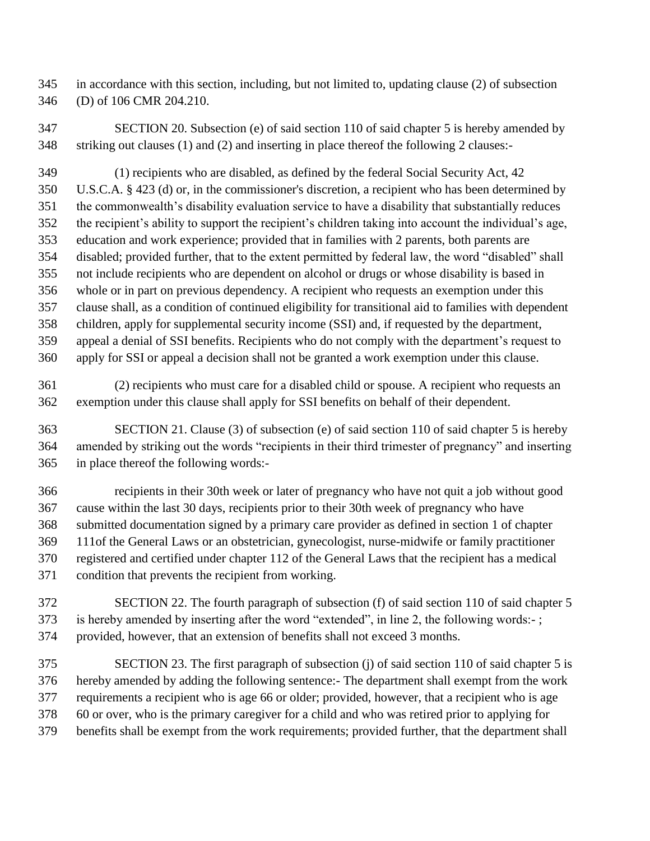in accordance with this section, including, but not limited to, updating clause (2) of subsection (D) of 106 CMR 204.210.

 SECTION 20. Subsection (e) of said section 110 of said chapter 5 is hereby amended by striking out clauses (1) and (2) and inserting in place thereof the following 2 clauses:-

 (1) recipients who are disabled, as defined by the federal Social Security Act, 42 U.S.C.A. § 423 (d) or, in the commissioner's discretion, a recipient who has been determined by the commonwealth's disability evaluation service to have a disability that substantially reduces the recipient's ability to support the recipient's children taking into account the individual's age, education and work experience; provided that in families with 2 parents, both parents are disabled; provided further, that to the extent permitted by federal law, the word "disabled" shall not include recipients who are dependent on alcohol or drugs or whose disability is based in whole or in part on previous dependency. A recipient who requests an exemption under this clause shall, as a condition of continued eligibility for transitional aid to families with dependent children, apply for supplemental security income (SSI) and, if requested by the department, appeal a denial of SSI benefits. Recipients who do not comply with the department's request to apply for SSI or appeal a decision shall not be granted a work exemption under this clause.

 (2) recipients who must care for a disabled child or spouse. A recipient who requests an exemption under this clause shall apply for SSI benefits on behalf of their dependent.

 SECTION 21. Clause (3) of subsection (e) of said section 110 of said chapter 5 is hereby amended by striking out the words "recipients in their third trimester of pregnancy" and inserting in place thereof the following words:-

 recipients in their 30th week or later of pregnancy who have not quit a job without good cause within the last 30 days, recipients prior to their 30th week of pregnancy who have submitted documentation signed by a primary care provider as defined in section 1 of chapter 111of the General Laws or an obstetrician, gynecologist, nurse-midwife or family practitioner registered and certified under chapter 112 of the General Laws that the recipient has a medical condition that prevents the recipient from working.

 SECTION 22. The fourth paragraph of subsection (f) of said section 110 of said chapter 5 is hereby amended by inserting after the word "extended", in line 2, the following words:- ; provided, however, that an extension of benefits shall not exceed 3 months.

 SECTION 23. The first paragraph of subsection (j) of said section 110 of said chapter 5 is hereby amended by adding the following sentence:- The department shall exempt from the work requirements a recipient who is age 66 or older; provided, however, that a recipient who is age 60 or over, who is the primary caregiver for a child and who was retired prior to applying for benefits shall be exempt from the work requirements; provided further, that the department shall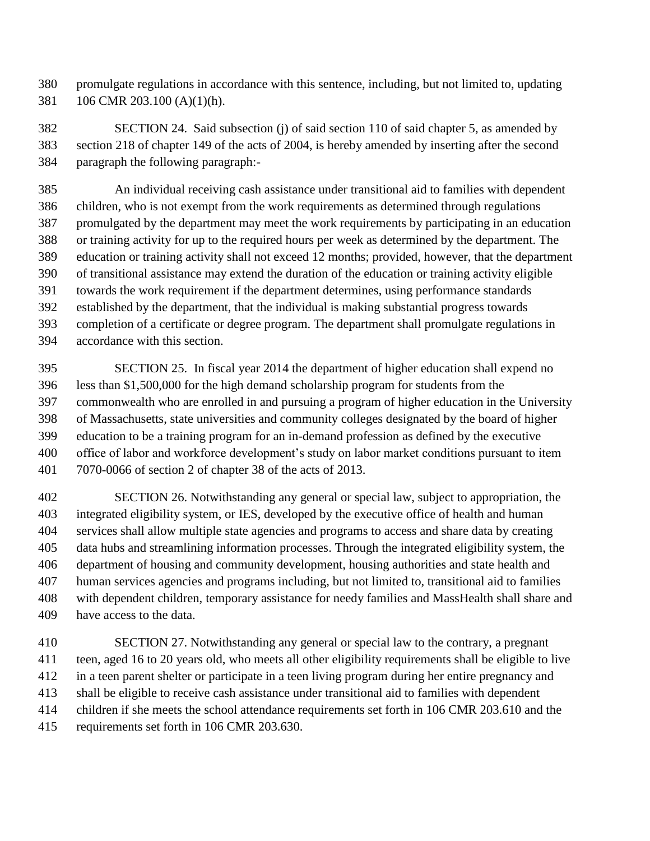promulgate regulations in accordance with this sentence, including, but not limited to, updating 106 CMR 203.100 (A)(1)(h).

 SECTION 24. Said subsection (j) of said section 110 of said chapter 5, as amended by section 218 of chapter 149 of the acts of 2004, is hereby amended by inserting after the second paragraph the following paragraph:-

 An individual receiving cash assistance under transitional aid to families with dependent children, who is not exempt from the work requirements as determined through regulations promulgated by the department may meet the work requirements by participating in an education or training activity for up to the required hours per week as determined by the department. The education or training activity shall not exceed 12 months; provided, however, that the department of transitional assistance may extend the duration of the education or training activity eligible towards the work requirement if the department determines, using performance standards established by the department, that the individual is making substantial progress towards completion of a certificate or degree program. The department shall promulgate regulations in accordance with this section.

 SECTION 25. In fiscal year 2014 the department of higher education shall expend no less than \$1,500,000 for the high demand scholarship program for students from the commonwealth who are enrolled in and pursuing a program of higher education in the University of Massachusetts, state universities and community colleges designated by the board of higher education to be a training program for an in-demand profession as defined by the executive office of labor and workforce development's study on labor market conditions pursuant to item 7070-0066 of section 2 of chapter 38 of the acts of 2013.

 SECTION 26. Notwithstanding any general or special law, subject to appropriation, the integrated eligibility system, or IES, developed by the executive office of health and human services shall allow multiple state agencies and programs to access and share data by creating data hubs and streamlining information processes. Through the integrated eligibility system, the department of housing and community development, housing authorities and state health and human services agencies and programs including, but not limited to, transitional aid to families with dependent children, temporary assistance for needy families and MassHealth shall share and have access to the data.

 SECTION 27. Notwithstanding any general or special law to the contrary, a pregnant teen, aged 16 to 20 years old, who meets all other eligibility requirements shall be eligible to live in a teen parent shelter or participate in a teen living program during her entire pregnancy and shall be eligible to receive cash assistance under transitional aid to families with dependent children if she meets the school attendance requirements set forth in 106 CMR 203.610 and the requirements set forth in 106 CMR 203.630.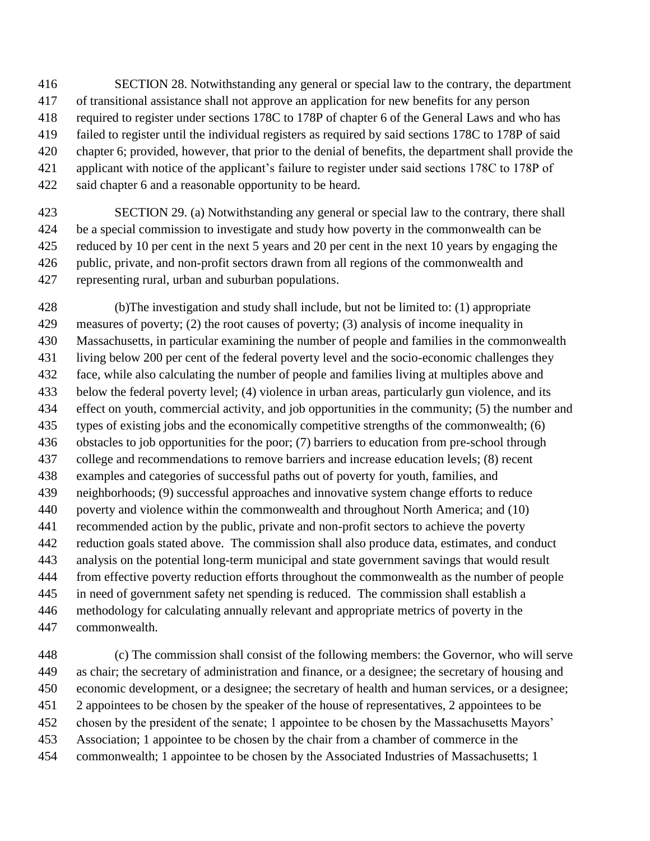- SECTION 28. Notwithstanding any general or special law to the contrary, the department of transitional assistance shall not approve an application for new benefits for any person required to register under sections 178C to 178P of chapter 6 of the General Laws and who has failed to register until the individual registers as required by said sections 178C to 178P of said chapter 6; provided, however, that prior to the denial of benefits, the department shall provide the applicant with notice of the applicant's failure to register under said sections 178C to 178P of said chapter 6 and a reasonable opportunity to be heard.
- SECTION 29. (a) Notwithstanding any general or special law to the contrary, there shall be a special commission to investigate and study how poverty in the commonwealth can be reduced by 10 per cent in the next 5 years and 20 per cent in the next 10 years by engaging the public, private, and non-profit sectors drawn from all regions of the commonwealth and representing rural, urban and suburban populations.
- (b)The investigation and study shall include, but not be limited to: (1) appropriate measures of poverty; (2) the root causes of poverty; (3) analysis of income inequality in Massachusetts, in particular examining the number of people and families in the commonwealth living below 200 per cent of the federal poverty level and the socio-economic challenges they face, while also calculating the number of people and families living at multiples above and below the federal poverty level; (4) violence in urban areas, particularly gun violence, and its effect on youth, commercial activity, and job opportunities in the community; (5) the number and types of existing jobs and the economically competitive strengths of the commonwealth; (6) obstacles to job opportunities for the poor; (7) barriers to education from pre-school through college and recommendations to remove barriers and increase education levels; (8) recent examples and categories of successful paths out of poverty for youth, families, and neighborhoods; (9) successful approaches and innovative system change efforts to reduce poverty and violence within the commonwealth and throughout North America; and (10) recommended action by the public, private and non-profit sectors to achieve the poverty reduction goals stated above. The commission shall also produce data, estimates, and conduct analysis on the potential long-term municipal and state government savings that would result from effective poverty reduction efforts throughout the commonwealth as the number of people in need of government safety net spending is reduced. The commission shall establish a methodology for calculating annually relevant and appropriate metrics of poverty in the commonwealth.
- (c) The commission shall consist of the following members: the Governor, who will serve as chair; the secretary of administration and finance, or a designee; the secretary of housing and economic development, or a designee; the secretary of health and human services, or a designee; 2 appointees to be chosen by the speaker of the house of representatives, 2 appointees to be chosen by the president of the senate; 1 appointee to be chosen by the Massachusetts Mayors' Association; 1 appointee to be chosen by the chair from a chamber of commerce in the commonwealth; 1 appointee to be chosen by the Associated Industries of Massachusetts; 1